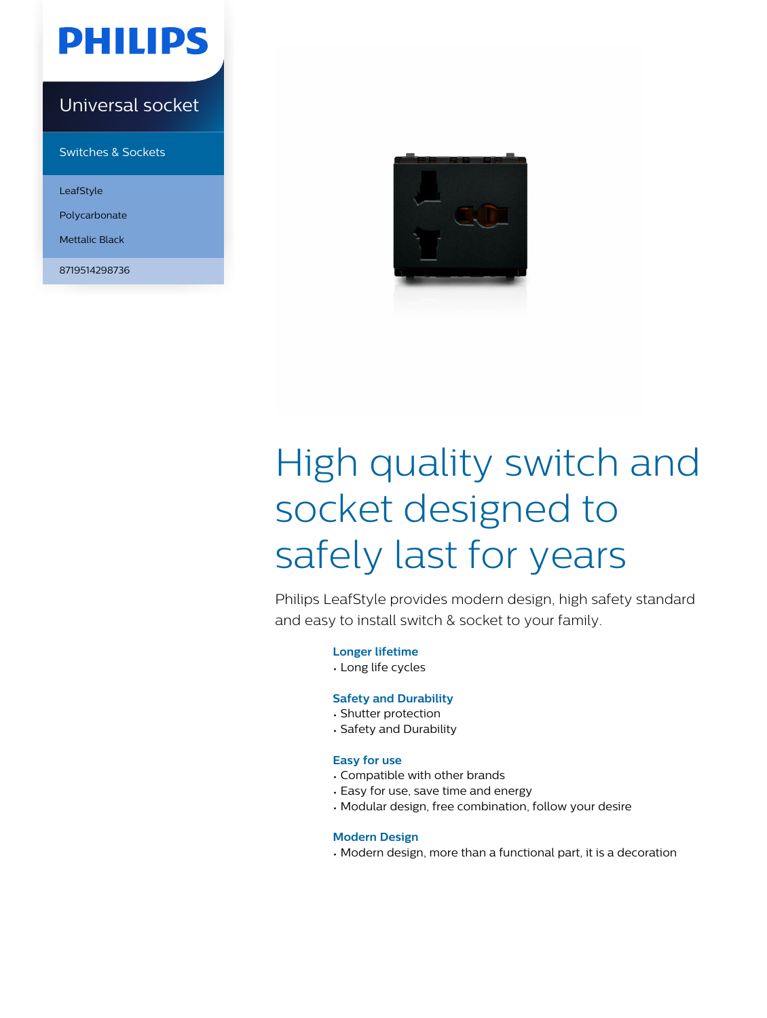

### Universal socket

Switches & Sockets

LeafStyle

Polycarbonate

Mettalic Black

8719514298736



# High quality switch and socket designed to safely last for years

Philips LeafStyle provides modern design, high safety standard and easy to install switch & socket to your family.

**Longer lifetime**

• Long life cycles

#### **Safety and Durability**

- Shutter protection
- Safety and Durability

#### **Easy for use**

- Compatible with other brands
- Easy for use, save time and energy
- Modular design, free combination, follow your desire

#### **Modern Design**

• Modern design, more than a functional part, it is a decoration